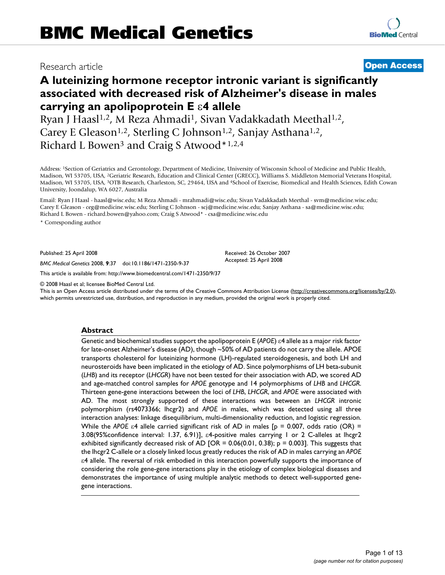# Research article **[Open Access](http://www.biomedcentral.com/info/about/charter/)**

# **A luteinizing hormone receptor intronic variant is significantly associated with decreased risk of Alzheimer's disease in males carrying an apolipoprotein E** ε**4 allele**

Ryan J Haasl<sup>1,2</sup>, M Reza Ahmadi<sup>1</sup>, Sivan Vadakkadath Meethal<sup>1,2</sup>, Carey E Gleason<sup>1,2</sup>, Sterling C Johnson<sup>1,2</sup>, Sanjay Asthana<sup>1,2</sup>, Richard L Bowen<sup>3</sup> and Craig S Atwood\*1,2,4

Address: 1Section of Geriatrics and Gerontology, Department of Medicine, University of Wisconsin School of Medicine and Public Health, Madison, WI 53705, USA, 2Geriatric Research, Education and Clinical Center (GRECC), Williams S. Middleton Memorial Veterans Hospital, Madison, WI 53705, USA, 3OTB Research, Charleston, SC, 29464, USA and 4School of Exercise, Biomedical and Health Sciences, Edith Cowan University, Joondalup, WA 6027, Australia

Email: Ryan J Haasl - haasl@wisc.edu; M Reza Ahmadi - mrahmadi@wisc.edu; Sivan Vadakkadath Meethal - svm@medicine.wisc.edu; Carey E Gleason - ceg@medicine.wisc.edu; Sterling C Johnson - scj@medicine.wisc.edu; Sanjay Asthana - sa@medicine.wisc.edu; Richard L Bowen - richard.bowen@yahoo.com; Craig S Atwood\* - csa@medicine.wisc.edu

\* Corresponding author

Published: 25 April 2008

*BMC Medical Genetics* 2008, **9**:37 doi:10.1186/1471-2350-9-37

[This article is available from: http://www.biomedcentral.com/1471-2350/9/37](http://www.biomedcentral.com/1471-2350/9/37)

© 2008 Haasl et al; licensee BioMed Central Ltd.

This is an Open Access article distributed under the terms of the Creative Commons Attribution License [\(http://creativecommons.org/licenses/by/2.0\)](http://creativecommons.org/licenses/by/2.0), which permits unrestricted use, distribution, and reproduction in any medium, provided the original work is properly cited.

Received: 26 October 2007 Accepted: 25 April 2008

#### **Abstract**

Genetic and biochemical studies support the apolipoprotein E (*APOE*) ε4 allele as a major risk factor for late-onset Alzheimer's disease (AD), though ~50% of AD patients do not carry the allele. APOE transports cholesterol for luteinizing hormone (LH)-regulated steroidogenesis, and both LH and neurosteroids have been implicated in the etiology of AD. Since polymorphisms of LH beta-subunit (*LHB*) and its receptor (*LHCGR*) have not been tested for their association with AD, we scored AD and age-matched control samples for *APOE* genotype and 14 polymorphisms of *LHB* and *LHCGR*. Thirteen gene-gene interactions between the loci of *LHB*, *LHCGR*, and *APOE* were associated with AD. The most strongly supported of these interactions was between an *LHCGR* intronic polymorphism (rs4073366; lhcgr2) and *APOE* in males, which was detected using all three interaction analyses: linkage disequilibrium, multi-dimensionality reduction, and logistic regression. While the *APOE* ε4 allele carried significant risk of AD in males [p = 0.007, odds ratio (OR) = 3.08(95%confidence interval: 1.37, 6.91)], ε4-positive males carrying 1 or 2 C-alleles at lhcgr2 exhibited significantly decreased risk of AD [OR = 0.06(0.01, 0.38); p = 0.003]. This suggests that the lhcgr2 C-allele or a closely linked locus greatly reduces the risk of AD in males carrying an *APOE* ε4 allele. The reversal of risk embodied in this interaction powerfully supports the importance of considering the role gene-gene interactions play in the etiology of complex biological diseases and demonstrates the importance of using multiple analytic methods to detect well-supported genegene interactions.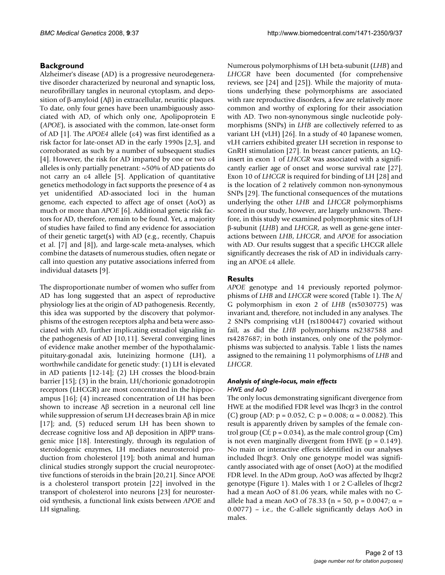# **Background**

Alzheimer's disease (AD) is a progressive neurodegenerative disorder characterized by neuronal and synaptic loss, neurofibrillary tangles in neuronal cytoplasm, and deposition of β-amyloid (Aβ) in extracellular, neuritic plaques. To date, only four genes have been unambiguously associated with AD, of which only one, Apolipoprotein E (*APOE*), is associated with the common, late-onset form of AD [1]. The *APOE4* allele (ε4) was first identified as a risk factor for late-onset AD in the early 1990s [2,3], and corroborated as such by a number of subsequent studies [4]. However, the risk for AD imparted by one or two ε4 alleles is only partially penetrant: ~50% of AD patients do not carry an ε4 allele [5]. Application of quantitative genetics methodology in fact supports the presence of 4 as yet unidentified AD-associated loci in the human genome, each expected to affect age of onset (AoO) as much or more than *APOE* [6]. Additional genetic risk factors for AD, therefore, remain to be found. Yet, a majority of studies have failed to find any evidence for association of their genetic target(s) with AD (e.g., recently, Chapuis et al. [7] and [8]), and large-scale meta-analyses, which combine the datasets of numerous studies, often negate or call into question any putative associations inferred from individual datasets [9].

The disproportionate number of women who suffer from AD has long suggested that an aspect of reproductive physiology lies at the origin of AD pathogenesis. Recently, this idea was supported by the discovery that polymorphisms of the estrogen receptors alpha and beta were associated with AD, further implicating estradiol signaling in the pathogenesis of AD [10,11]. Several converging lines of evidence make another member of the hypothalamicpituitary-gonadal axis, luteinizing hormone (LH), a worthwhile candidate for genetic study: (1) LH is elevated in AD patients [12-14]; (2) LH crosses the blood-brain barrier [15]; (3) in the brain, LH/chorionic gonadotropin receptors (LHCGR) are most concentrated in the hippocampus [16]; (4) increased concentration of LH has been shown to increase Aβ secretion in a neuronal cell line while suppression of serum LH decreases brain Aβ in mice [17]; and, (5) reduced serum LH has been shown to decrease cognitive loss and Aβ deposition in AβPP transgenic mice [18]. Interestingly, through its regulation of steroidogenic enzymes, LH mediates neurosteroid production from cholesterol [19]; both animal and human clinical studies strongly support the crucial neuroprotective functions of steroids in the brain [20,21]. Since APOE is a cholesterol transport protein [22] involved in the transport of cholesterol into neurons [23] for neurosteroid synthesis, a functional link exists between *APOE* and LH signaling.

Numerous polymorphisms of LH beta-subunit (*LHB*) and *LHCGR* have been documented (for comprehensive reviews, see [24] and [25]). While the majority of mutations underlying these polymorphisms are associated with rare reproductive disorders, a few are relatively more common and worthy of exploring for their association with AD. Two non-synonymous single nucleotide polymorphisms (SNPs) in *LHB* are collectively referred to as variant LH (vLH) [26]. In a study of 40 Japanese women, vLH carriers exhibited greater LH secretion in response to GnRH stimulation [27]. In breast cancer patients, an LQinsert in exon 1 of *LHCGR* was associated with a significantly earlier age of onset and worse survival rate [27]. Exon 10 of *LHCGR* is required for binding of LH [28] and is the location of 2 relatively common non-synonymous SNPs [29]. The functional consequences of the mutations underlying the other *LHB* and *LHCGR* polymorphisms scored in our study, however, are largely unknown. Therefore, in this study we examined polymorphmic sites of LH β-subunit (*LHB*) and *LHCGR*, as well as gene-gene interactions between *LHB*, *LHCGR*, and *APOE* for association with AD. Our results suggest that a specific LHCGR allele significantly decreases the risk of AD in individuals carrying an APOE ε4 allele.

# **Results**

*APOE* genotype and 14 previously reported polymorphisms of *LHB* and *LHCGR* were scored (Table 1). The A/ G polymorphism in exon 2 of *LHB* (rs5030775) was invariant and, therefore, not included in any analyses. The 2 SNPs comprising vLH (rs1800447) covaried without fail, as did the *LHB* polymorphisms rs2387588 and rs4287687; in both instances, only one of the polymorphisms was subjected to analysis. Table 1 lists the names assigned to the remaining 11 polymorphisms of *LHB* and *LHCGR*.

### *Analysis of single-locus, main effects HWE and AoO*

The only locus demonstrating significant divergence from HWE at the modified FDR level was lhcgr3 in the control (C) group (AD:  $p = 0.052$ , C:  $p = 0.008$ ;  $\alpha = 0.0082$ ). This result is apparently driven by samples of the female control group (Cf;  $p = 0.034$ ), as the male control group (Cm) is not even marginally divergent from HWE ( $p = 0.149$ ). No main or interactive effects identified in our analyses included lhcgr3. Only one genotype model was significantly associated with age of onset (AoO) at the modified FDR level. In the ADm group, AoO was affected by lhcgr2 genotype (Figure 1). Males with 1 or 2 C-alleles of lhcgr2 had a mean AoO of 81.06 years, while males with no Callele had a mean AoO of 78.33 (n = 50, p = 0.0047; α = 0.0077) – i.e., the C-allele significantly delays AoO in males.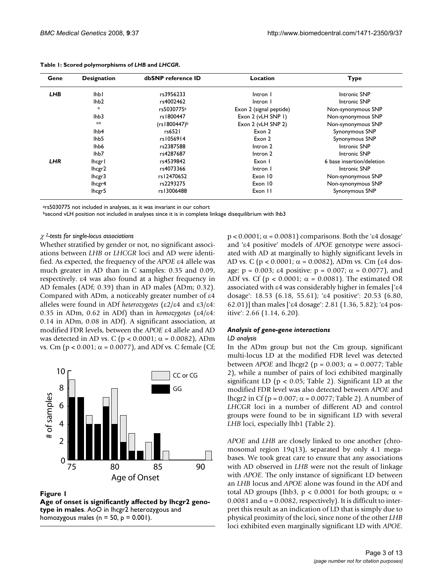| Gene       | <b>Designation</b> | dbSNP reference ID     | Location                | <b>Type</b>               |
|------------|--------------------|------------------------|-------------------------|---------------------------|
| <b>LHB</b> | lhb l              | rs3956233              | Intron I                | Intronic SNP              |
|            | lhb <sub>2</sub>   | rs4002462              | Intron I                | <b>Intronic SNP</b>       |
|            | $\ast$             | rs5030775 <sup>a</sup> | Exon 2 (signal peptide) | Non-synonymous SNP        |
|            | lhb <sub>3</sub>   | rs1800447              | Exon 2 (vLH SNP I)      | Non-synonymous SNP        |
|            | $*$                | (rs1800447)b           | Exon 2 (vLH SNP 2)      | Non-synonymous SNP        |
|            | lhb4               | rs6521                 | Exon 2                  | Synonymous SNP            |
|            | lhb <sub>5</sub>   | rs1056914              | Exon 2                  | Synonymous SNP            |
|            | lhb <sub>6</sub>   | rs2387588              | Intron 2                | Intronic SNP              |
|            | lhb7               | rs4287687              | Intron 2                | Intronic SNP              |
| LHR        | lhcgr l            | rs4539842              | Exon I                  | 6 base insertion/deletion |
|            | lhcgr2             | rs4073366              | Intron I                | Intronic SNP              |
|            | lhcgr3             | rs12470652             | Exon 10                 | Non-synonymous SNP        |
|            | lhcgr4             | rs2293275              | Exon 10                 | Non-synonymous SNP        |
|            | lhcgr5             | rs13006488             | Exon II                 | Synonymous SNP            |

#### **Table 1: Scored polymorphisms of** *LHB* **and** *LHCGR***.**

ars5030775 not included in analyses, as it was invariant in our cohort

bsecond vLH position not included in analyses since it is in complete linkage disequilibrium with lhb3

#### <sup>χ</sup> *2-tests for single-locus associations*

Whether stratified by gender or not, no significant associations between *LHB* or *LHCGR* loci and AD were identified. As expected, the frequency of the *APOE* ε4 allele was much greater in AD than in C samples: 0.35 and 0.09, respectively. ε4 was also found at a higher frequency in AD females (ADf; 0.39) than in AD males (ADm; 0.32). Compared with ADm, a noticeably greater number of ε4 alleles were found in ADf *heterozygotes* (ε2/ε4 and ε3/ε4: 0.35 in ADm, 0.62 in ADf) than in *homozygotes* (ε4/ε4: 0.14 in ADm, 0.08 in ADf). A significant association, at modified FDR levels, between the *APOE* ε4 allele and AD was detected in AD vs. C ( $p < 0.0001$ ;  $\alpha = 0.0082$ ), ADm vs. Cm (p < 0.001; α = 0.0077), and ADf vs. C female (Cf;



Figure 1

**Age of onset is significantly affected by lhcgr2 genotype in males**. AoO in lhcgr2 heterozygous and homozygous males ( $n = 50$ ,  $p = 0.001$ ).

 $p < 0.0001$ ;  $\alpha = 0.0081$ ) comparisons. Both the ' $\varepsilon$ 4 dosage' and 'ε4 positive' models of *APOE* genotype were associated with AD at marginally to highly significant levels in AD vs. C ( $p < 0.0001$ ;  $\alpha = 0.0082$ ), ADm vs. Cm (ε4 dosage:  $p = 0.003$ ;  $\varepsilon 4$  positive:  $p = 0.007$ ;  $\alpha = 0.0077$ ), and ADf vs. Cf ( $p < 0.0001$ ;  $\alpha = 0.0081$ ). The estimated OR associated with ε4 was considerably higher in females ['ε4 dosage': 18.53 (6.18, 55.61); 'ε4 positive': 20.53 (6.80, 62.01)] than males ['ε4 dosage': 2.81 (1.36, 5.82); 'ε4 positive': 2.66 (1.14, 6.20).

#### *Analysis of gene-gene interactions*

#### *LD analysis*

In the ADm group but not the Cm group, significant multi-locus LD at the modified FDR level was detected between *APOE* and lhcgr2 ( $p = 0.003$ ;  $α = 0.0077$ ; Table 2), while a number of pairs of loci exhibited marginally significant LD ( $p < 0.05$ ; Table 2). Significant LD at the modified FDR level was also detected between *APOE* and lhcgr2 in Cf (p =  $0.007$ ;  $\alpha$  =  $0.0077$ ; Table 2). A number of *LHCGR* loci in a number of different AD and control groups were found to be in significant LD with several *LHB* loci, especially lhb1 (Table 2).

*APOE* and *LHB* are closely linked to one another (chromosomal region 19q13), separated by only 4.1 megabases. We took great care to ensure that any associations with AD observed in *LHB* were not the result of linkage with *APOE*. The only instance of significant LD between an *LHB* locus and *APOE* alone was found in the ADf and total AD groups (lhb3, p < 0.0001 for both groups;  $\alpha$  = 0.0081 and  $\alpha$  = 0.0082, respectively). It is difficult to interpret this result as an indication of LD that is simply due to physical proximity of the loci, since none of the other *LHB* loci exhibited even marginally significant LD with *APOE*.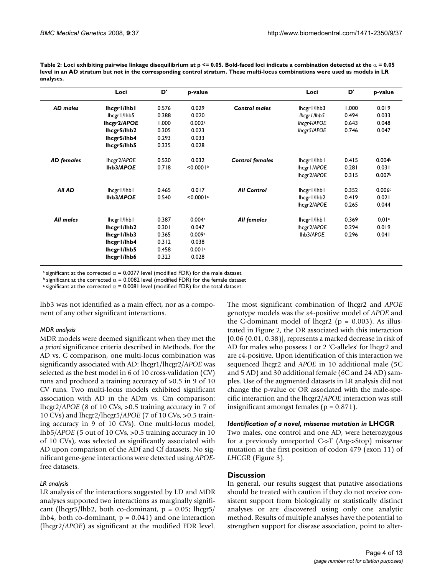| Table 2: Loci exhibiting pairwise linkage disequilibrium at p <= 0.05. Bold-faced loci indicate a combination detected at the $\alpha$ = 0.05 |
|-----------------------------------------------------------------------------------------------------------------------------------------------|
| level in an AD stratum but not in the corresponding control stratum. These multi-locus combinations were used as models in LR                 |
| analyses.                                                                                                                                     |

|                   | Loci          | D'    | p-value   |                        | Loci          | D'    | p-value            |
|-------------------|---------------|-------|-----------|------------------------|---------------|-------|--------------------|
| AD males          | lhcgr1/lhb1   | 0.576 | 0.029     | <b>Control males</b>   | lhcgr l/lhb3  | 1.000 | 0.019              |
|                   | lhcgr1/lhb5   | 0.388 | 0.020     |                        | lhcgr I /lhb5 | 0.494 | 0.033              |
|                   | lhcgr2/APOE   | 1.000 | 0.002a    |                        | lhcgr4/APOE   | 0.643 | 0.048              |
|                   | lhcgr5/lhb2   | 0.305 | 0.023     |                        | lhcgr5/APOE   | 0.746 | 0.047              |
|                   | lhcgr5/lhb4   | 0.293 | 0.033     |                        |               |       |                    |
|                   | lhcgr5/lhb5   | 0.335 | 0.028     |                        |               |       |                    |
| <b>AD</b> females | lhcgr2/APOE   | 0.520 | 0.032     | <b>Control females</b> | lhcgr l/lhb l | 0.415 | 0.004 <sup>b</sup> |
|                   | Ihb3/APOE     | 0.718 | < 0.0001  |                        | lhcgr I/APOE  | 0.281 | 0.031              |
|                   |               |       |           |                        | lhcgr2/APOE   | 0.315 | 0.007 <sup>b</sup> |
| <b>All AD</b>     | lhcgr l/lhb l | 0.465 | 0.017     | <b>All Control</b>     | lhcgr l/lhb l | 0.352 | 0.006c             |
|                   | Ihb3/APOE     | 0.540 | < 0.0001c |                        | lhcgr l/lhb2  | 0.419 | 0.021              |
|                   |               |       |           |                        | lhcgr2/APOE   | 0.265 | 0.044              |
| All males         | lhcgr   /lhb  | 0.387 | 0.004a    | All females            | lhcgr l/lhb l | 0.369 | 0.01 <sup>a</sup>  |
|                   | lhcgr l/lhb2  | 0.301 | 0.047     |                        | lhcgr2/APOE   | 0.294 | 0.019              |
|                   | lhcgr1/lhb3   | 0.365 | 0.009a    |                        | lhb3/APOE     | 0.296 | 0.041              |
|                   | lhcgr l/lhb4  | 0.312 | 0.038     |                        |               |       |                    |
|                   | lhcgr1/lhb5   | 0.458 | 0.001a    |                        |               |       |                    |
|                   | lhcgr l/lhb6  | 0.323 | 0.028     |                        |               |       |                    |

<sup>a</sup> significant at the corrected  $\alpha$  = 0.0077 level (modified FDR) for the male dataset

b significant at the corrected  $\alpha$  = 0.0082 level (modified FDR) for the female dataset

c significant at the corrected  $\alpha$  = 0.0081 level (modified FDR) for the total dataset.

lhb3 was not identified as a main effect, nor as a component of any other significant interactions.

#### *MDR analysis*

MDR models were deemed significant when they met the *a priori* significance criteria described in Methods. For the AD vs. C comparison, one multi-locus combination was significantly associated with AD: lhcgr1/lhcgr2/*APOE* was selected as the best model in 6 of 10 cross-validation (CV) runs and produced a training accuracy of >0.5 in 9 of 10 CV runs. Two multi-locus models exhibited significant association with AD in the ADm vs. Cm comparison: lhcgr2/*APOE* (8 of 10 CVs, >0.5 training accuracy in 7 of 10 CVs) and lhcgr2/lhcgr5/*APOE* (7 of 10 CVs, >0.5 training accuracy in 9 of 10 CVs). One multi-locus model, lhb5/*APOE* (5 out of 10 CVs, >0.5 training accuracy in 10 of 10 CVs), was selected as significantly associated with AD upon comparison of the ADf and Cf datasets. No significant gene-gene interactions were detected using *APOE*free datasets.

#### *LR analysis*

LR analysis of the interactions suggested by LD and MDR analyses supported two interactions as marginally significant (lhcgr5/lhb2, both co-dominant,  $p = 0.05$ ; lhcgr5/ lhb4, both co-dominant,  $p = 0.041$ ) and one interaction (lhcgr2/*APOE*) as significant at the modified FDR level.

The most significant combination of lhcgr2 and *APOE* genotype models was the ε4-positive model of *APOE* and the C-dominant model of  $lncgr2$  ( $p = 0.003$ ). As illustrated in Figure 2, the OR associated with this interaction [0.06 (0.01, 0.38)], represents a marked decrease in risk of AD for males who possess 1 or 2 'C-alleles' for lhcgr2 and are ε4-positive. Upon identification of this interaction we sequenced lhcgr2 and *APOE* in 10 additional male (5C and 5 AD) and 30 additional female (6C and 24 AD) samples. Use of the augmented datasets in LR analysis did not change the p-value or OR associated with the male-specific interaction and the lhcgr2/*APOE* interaction was still insignificant amongst females ( $p = 0.871$ ).

#### *Identification of a novel, missense mutation in* **LHCGR**

Two males, one control and one AD, were heterozygous for a previously unreported C->T (Arg->Stop) missense mutation at the first position of codon 479 (exon 11) of *LHCGR* (Figure 3).

#### **Discussion**

In general, our results suggest that putative associations should be treated with caution if they do not receive consistent support from biologically or statistically distinct analyses or are discovered using only one analytic method. Results of multiple analyses have the potential to strengthen support for disease association, point to alter-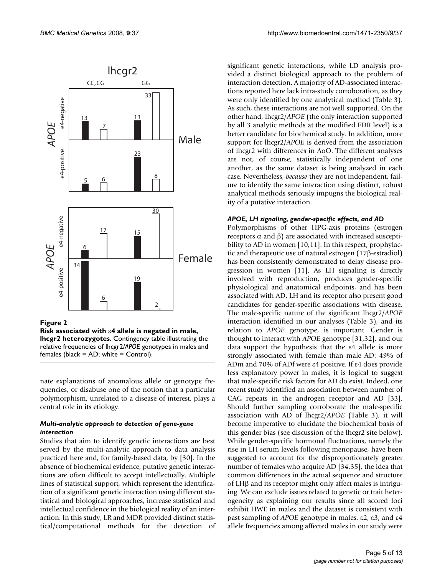

**Risk associated with** ε**4 allele is negated in male, lhcgr2 heterozygotes**. Contingency table illustrating the relative frequencies of lhcgr2/*APOE* genotypes in males and females (black = AD; white = Control).

nate explanations of anomalous allele or genotype frequencies, or disabuse one of the notion that a particular polymorphism, unrelated to a disease of interest, plays a central role in its etiology.

# *Multi-analytic approach to detection of gene-gene interaction*

Studies that aim to identify genetic interactions are best served by the multi-analytic approach to data analysis practiced here and, for family-based data, by [30]. In the absence of biochemical evidence, putative genetic interactions are often difficult to accept intellectually. Multiple lines of statistical support, which represent the identification of a significant genetic interaction using different statistical and biological approaches, increase statistical and intellectual confidence in the biological reality of an interaction. In this study, LR and MDR provided distinct statistical/computational methods for the detection of significant genetic interactions, while LD analysis provided a distinct biological approach to the problem of interaction detection. A majority of AD-associated interactions reported here lack intra-study corroboration, as they were only identified by one analytical method (Table 3). As such, these interactions are not well supported. On the other hand, lhcgr2/*APOE* (the only interaction supported by all 3 analytic methods at the modified FDR level) is a better candidate for biochemical study. In addition, more support for lhcgr2/*APOE* is derived from the association of lhcgr2 with differences in AoO. The different analyses are not, of course, statistically independent of one another, as the same dataset is being analyzed in each case. Nevertheless, *because* they are not independent, failure to identify the same interaction using distinct, robust analytical methods seriously impugns the biological reality of a putative interaction.

# *APOE, LH signaling, gender-specific effects, and AD*

Polymorphisms of other HPG-axis proteins (estrogen receptors  $\alpha$  and  $\beta$ ) are associated with increased susceptibility to AD in women [10,11]. In this respect, prophylactic and therapeutic use of natural estrogen (17β-estradiol) has been consistently demonstrated to delay disease progression in women [11]. As LH signaling is directly involved with reproduction, produces gender-specific physiological and anatomical endpoints, and has been associated with AD, LH and its receptor also present good candidates for gender-specific associations with disease. The male-specific nature of the significant lhcgr2/*APOE* interaction identified in our analyses (Table 3), and its relation to *APOE* genotype, is important. Gender is thought to interact with *APOE* genotype [31,32], and our data support the hypothesis that the ε4 allele is more strongly associated with female than male AD: 49% of ADm and 70% of ADf were ε4 positive. If ε4 does provide less explanatory power in males, it is logical to suggest that male-specific risk factors for AD do exist. Indeed, one recent study identified an association between number of CAG repeats in the androgen receptor and AD [33]. Should further sampling corroborate the male-specific association with AD of lhcgr2/*APOE* (Table 3), it will become imperative to elucidate the biochemical basis of this gender bias (see discussion of the lhcgr2 site below). While gender-specific hormonal fluctuations, namely the rise in LH serum levels following menopause, have been suggested to account for the disproportionately greater number of females who acquire AD [34,35], the idea that common differences in the actual sequence and structure of LHβ and its receptor might only affect males is intriguing. We can exclude issues related to genetic or trait heterogeneity as explaining our results since all scored loci exhibit HWE in males and the dataset is consistent with past sampling of *APOE* genotype in males. ε2, ε3, and ε4 allele frequencies among affected males in our study were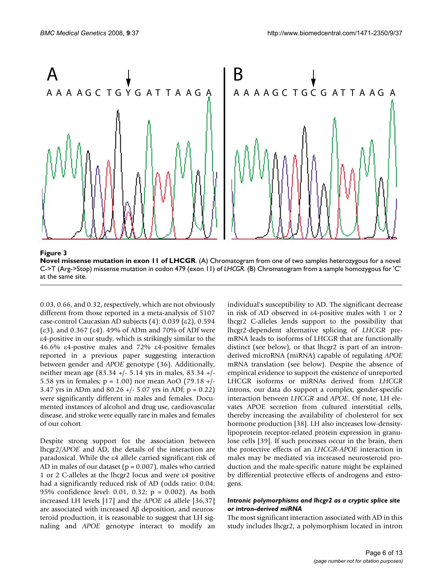

**Novel missense mutation in exon 11 of LHCGR**. (A) Chromatogram from one of two samples heterozygous for a novel C->T (Arg->Stop) missense mutation in codon 479 (exon 11) of *LHCGR*. (B) Chromatogram from a sample homozygous for 'C' at the same site.

0.03, 0.66, and 0.32, respectively, which are not obviously different from those reported in a meta-analysis of 5107 case-control Caucasian AD subjects (4): 0.039 (ε2), 0.594 (ε3), and 0.367 (ε4). 49% of ADm and 70% of ADf were ε4-positive in our study, which is strikingly similar to the 46.6% ε4-postive males and 72% ε4-positive females reported in a previous paper suggesting interaction between gender and *APOE* genotype (36). Additionally, neither mean age (83.34 +/- 5.14 yrs in males, 83.34 +/- 5.58 yrs in females;  $p = 1.00$ ) nor mean AoO (79.18 +/-3.47 yrs in ADm and  $80.26$  +/- 5.07 yrs in ADf; p = 0.22) were significantly different in males and females. Documented instances of alcohol and drug use, cardiovascular disease, and stroke were equally rare in males and females of our cohort.

Despite strong support for the association between lhcgr2/*APOE* and AD, the details of the interaction are paradoxical. While the ε4 allele carried significant risk of AD in males of our dataset ( $p = 0.007$ ), males who carried 1 or 2 C-alleles at the lhcgr2 locus and were ε4 positive had a significantly reduced risk of AD (odds ratio: 0.04; 95% confidence level: 0.01, 0.32; p = 0.002). As both increased LH levels [17] and the *APOE* ε4 allele [36,37] are associated with increased Aβ deposition, and neurosteroid production, it is reasonable to suggest that LH signaling and *APOE* genotype interact to modify an individual's susceptibility to AD. The significant decrease in risk of AD observed in ε4-positive males with 1 or 2 lhcgr2 C-alleles lends support to the possibility that lhcgr2-dependent alternative splicing of *LHCGR* premRNA leads to isoforms of LHCGR that are functionally distinct (see below), or that lhcgr2 is part of an intronderived microRNA (miRNA) capable of regulating *APOE* mRNA translation (see below). Despite the absence of empirical evidence to support the existence of unreported LHCGR isoforms or miRNAs derived from *LHCGR* introns, our data do support a complex, gender-specific interaction between *LHCGR* and *APOE*. Of note, LH elevates APOE secretion from cultured interstitial cells, thereby increasing the availability of cholesterol for sex hormone production [38]. LH also increases low-densitylipoprotein receptor-related protein expression in granulose cells [39]. If such processes occur in the brain, then the protective effects of an *LHCGR*-*APOE* interaction in males may be mediated via increased neurosteroid production and the male-specific nature might be explained by differential protective effects of androgens and estrogens.

### *Intronic polymorphisms and lhcgr2 as a cryptic splice site or intron-derived miRNA*

The most significant interaction associated with AD in this study includes lhcgr2, a polymorphism located in intron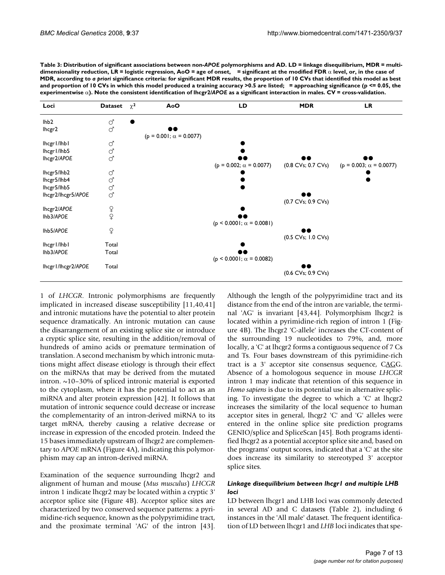| Table 3: Distribution of significant associations between non-APOE polymorphisms and AD. LD = linkage disequilibrium, MDR = multi-           |
|----------------------------------------------------------------------------------------------------------------------------------------------|
| dimensionality reduction, LR = logistic regression, AoO = age of onset, = significant at the modified FDR $\alpha$ level, or, in the case of |
| MDR, according to a priori significance criteria: for significant MDR results, the proportion of 10 CVs that identified this model as best   |
| and proportion of 10 CVs in which this model produced a training accuracy >0.5 are listed; = approaching significance (p <= 0.05, the        |
| experimentwise $\alpha$ ). Note the consistent identification of Ihcgr2/APOE as a significant interaction in males. CV = cross-validation.   |

| Loci                                                            | <b>Dataset</b>              | $\chi^2$ | AoO                            | LD                              | <b>MDR</b>         | <b>LR</b>                      |
|-----------------------------------------------------------------|-----------------------------|----------|--------------------------------|---------------------------------|--------------------|--------------------------------|
| lhb <sub>2</sub><br>lhcgr2                                      | J<br>ď                      |          | $(p = 0.001; \alpha = 0.0077)$ |                                 |                    |                                |
| lhcgr l/lhb l<br>lhcgr l/lhb5<br>lhcgr2/APOE                    | $\mathcal{O}$<br>J<br>ď     |          |                                | $(p = 0.002; \alpha = 0.0077)$  | (0.8 CVs; 0.7 CVs) | $(p = 0.003; \alpha = 0.0077)$ |
| lhcgr5/lhb2<br>lhcgr5/lhb4<br>lhcgr5/lhb5<br>Ihcgr2/Ihcgr5/APOE | ď<br>ď<br>J<br>ď            |          |                                |                                 |                    |                                |
| lhcgr2/APOE<br>Ihb3/APOE                                        | 오<br>오                      |          |                                | $(p < 0.0001; \alpha = 0.0081)$ | (0.7 CVs; 0.9 CVs) |                                |
| Ihb5/APOE<br>lhcgr l/lhb l<br>Ihb3/APOE                         | $\varphi$<br>Total<br>Total |          |                                |                                 | (0.5 CVs; 1.0 CVs) |                                |
| Ihcgr I/lhcgr 2/APOE                                            | Total                       |          |                                | $(p < 0.0001; \alpha = 0.0082)$ | (0.6 CVs; 0.9 CVs) |                                |

1 of *LHCGR*. Intronic polymorphisms are frequently implicated in increased disease susceptibility [11,40,41] and intronic mutations have the potential to alter protein sequence dramatically. An intronic mutation can cause the disarrangement of an existing splice site or introduce a cryptic splice site, resulting in the addition/removal of hundreds of amino acids or premature termination of translation. A second mechanism by which intronic mutations might affect disease etiology is through their effect on the miRNAs that may be derived from the mutated intron.  $\sim$ 10–30% of spliced intronic material is exported to the cytoplasm, where it has the potential to act as an miRNA and alter protein expression [42]. It follows that mutation of intronic sequence could decrease or increase the complementarity of an intron-derived miRNA to its target mRNA, thereby causing a relative decrease or increase in expression of the encoded protein. Indeed the 15 bases immediately upstream of lhcgr2 are complementary to *APOE* mRNA (Figure 4A), indicating this polymorphism may cap an intron-derived miRNA.

Examination of the sequence surrounding lhcgr2 and alignment of human and mouse (*Mus musculus*) *LHCGR* intron 1 indicate lhcgr2 may be located within a cryptic 3' acceptor splice site (Figure 4B). Acceptor splice sites are characterized by two conserved sequence patterns: a pyrimidine-rich sequence, known as the polypyrimidine tract, and the proximate terminal 'AG' of the intron [43].

Although the length of the polypyrimidine tract and its distance from the end of the intron are variable, the terminal 'AG' is invariant [43,44]. Polymorphism lhcgr2 is located within a pyrimidine-rich region of intron 1 (Figure 4B). The lhcgr2 'C-allele' increases the CT-content of the surrounding 19 nucleotides to 79%, and, more locally, a 'C' at lhcgr2 forms a contiguous sequence of 7 Cs and Ts. Four bases downstream of this pyrimidine-rich tract is a 3' acceptor site consensus sequence, CAGG. Absence of a homologous sequence in mouse *LHCGR* intron 1 may indicate that retention of this sequence in *Homo sapiens* is due to its potential use in alternative splicing. To investigate the degree to which a 'C' at lhcgr2 increases the similarity of the local sequence to human acceptor sites in general, lhcgr2 'C' and 'G' alleles were entered in the online splice site prediction programs GENIO/splice and SpliceScan [45]. Both programs identified lhcgr2 as a potential acceptor splice site and, based on the programs' output scores, indicated that a 'C' at the site does increase its similarity to stereotyped 3' acceptor splice sites.

# *Linkage disequilibrium between lhcgr1 and multiple LHB loci*

LD between lhcgr1 and LHB loci was commonly detected in several AD and C datasets (Table 2), including 6 instances in the 'All male' dataset. The frequent identification of LD between lhcgr1 and *LHB* loci indicates that spe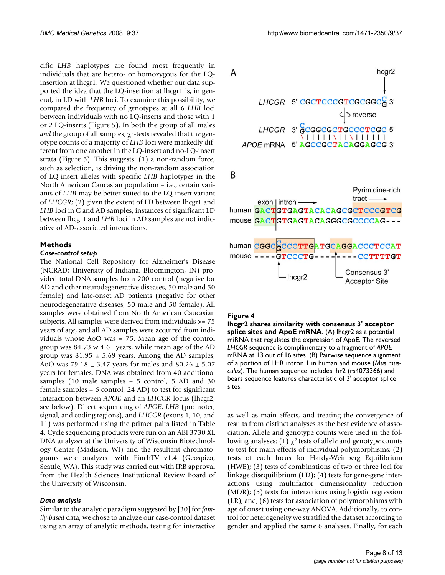cific *LHB* haplotypes are found most frequently in individuals that are hetero- or homozygous for the LQinsertion at lhcgr1. We questioned whether our data supported the idea that the LQ-insertion at lhcgr1 is, in general, in LD with *LHB* loci. To examine this possibility, we compared the frequency of genotypes at all 6 *LHB* loci between individuals with no LQ-inserts and those with 1 or 2 LQ-inserts (Figure 5). In both the group of all males *and* the group of all samples,  $\chi^2$ -tests revealed that the genotype counts of a majority of *LHB* loci were markedly different from one another in the LQ-insert and no-LQ-insert strata (Figure 5). This suggests: (1) a non-random force, such as selection, is driving the non-random association of LQ-insert alleles with specific *LHB* haplotypes in the North American Caucasian population – i.e., certain variants of *LHB* may be better suited to the LQ-insert variant of *LHCGR*; (2) given the extent of LD between lhcgr1 and *LHB* loci in C and AD samples, instances of significant LD between lhcgr1 and *LHB* loci in AD samples are not indicative of AD-associated interactions.

#### **Methods**

### *Case-control setup*

The National Cell Repository for Alzheimer's Disease (NCRAD; University of Indiana, Bloomington, IN) provided total DNA samples from 200 control (negative for AD and other neurodegenerative diseases, 50 male and 50 female) and late-onset AD patients (negative for other neurodegenerative diseases, 50 male and 50 female). All samples were obtained from North American Caucasian subjects. All samples were derived from individuals >= 75 years of age, and all AD samples were acquired from individuals whose AoO was = 75. Mean age of the control group was 84.73 w 4.61 years, while mean age of the AD group was  $81.95 \pm 5.69$  years. Among the AD samples, AoO was  $79.18 \pm 3.47$  years for males and  $80.26 \pm 5.07$ years for females. DNA was obtained from 40 additional samples (10 male samples – 5 control, 5 AD and 30 female samples – 6 control, 24 AD) to test for significant interaction between *APOE* and an *LHCGR* locus (lhcgr2, see below). Direct sequencing of *APOE*, *LHB* (promoter, signal, and coding regions), and *LHCGR* (exons 1, 10, and 11) was performed using the primer pairs listed in Table 4. Cycle sequencing products were run on an ABI 3730 XL DNA analyzer at the University of Wisconsin Biotechnology Center (Madison, WI) and the resultant chromatograms were analyzed with FinchTV v1.4 (Geospiza, Seattle, WA). This study was carried out with IRB approval from the Health Sciences Institutional Review Board of the University of Wisconsin.

#### *Data analysis*

Similar to the analytic paradigm suggested by [30] for *family-based* data, we chose to analyze our case-control dataset using an array of analytic methods, testing for interactive



#### Figure 4

**lhcgr2 shares similarity with consensus 3' acceptor**  splice sites and ApoE mRNA. (A) lhcgr2 as a potential miRNA that regulates the expression of ApoE. The reversed *LHCGR* sequence is complimentary to a fragment of *APOE*  mRNA at 13 out of 16 sites. (B) Pairwise sequence alignment of a portion of LHR intron 1 in human and mouse (*Mus musculus*). The human sequence includes lhr2 (rs4073366) and bears sequence features characteristic of 3' acceptor splice sites.

as well as main effects, and treating the convergence of results from distinct analyses as the best evidence of association. Allele and genotype counts were used in the following analyses: (1)  $χ²$  tests of allele and genotype counts to test for main effects of individual polymorphisms; (2) tests of each locus for Hardy-Weinberg Equilibrium (HWE); (3) tests of combinations of two or three loci for linkage disequilibrium (LD); (4) tests for gene-gene interactions using multifactor dimensionality reduction (MDR); (5) tests for interactions using logistic regression (LR), and; (6) tests for association of polymorphisms with age of onset using one-way ANOVA. Additionally, to control for heterogeneity we stratified the dataset according to gender and applied the same 6 analyses. Finally, for each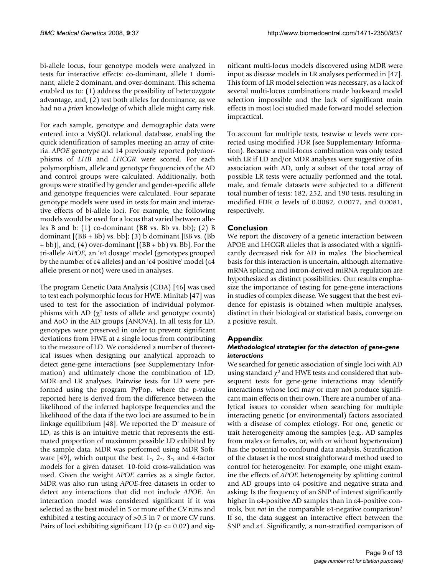bi-allele locus, four genotype models were analyzed in tests for interactive effects: co-dominant, allele 1 dominant, allele 2 dominant, and over-dominant. This schema enabled us to: (1) address the possibility of heterozygote advantage, and; (2) test both alleles for dominance, as we had no *a priori* knowledge of which allele might carry risk.

For each sample, genotype and demographic data were entered into a MySQL relational database, enabling the quick identification of samples meeting an array of criteria. *APOE* genotype and 14 previously reported polymorphisms of *LHB* and *LHCGR* were scored. For each polymorphism, allele and genotype frequencies of the AD and control groups were calculated. Additionally, both groups were stratified by gender and gender-specific allele and genotype frequencies were calculated. Four separate genotype models were used in tests for main and interactive effects of bi-allele loci. For example, the following models would be used for a locus that varied between alleles B and b: (1) co-dominant (BB vs. Bb vs. bb); (2) B dominant  $[(BB + Bb)$  vs. bb]; (3) b dominant [BB vs. (Bb] + bb)], and; (4) over-dominant [(BB + bb) vs. Bb]. For the tri-allele *APOE*, an 'ε4 dosage' model (genotypes grouped by the number of ε4 alleles) and an 'ε4 positive' model (ε4 allele present or not) were used in analyses.

The program Genetic Data Analysis (GDA) [46] was used to test each polymorphic locus for HWE. Minitab [47] was used to test for the association of individual polymorphisms with AD ( $χ$ <sup>2</sup> tests of allele and genotype counts) and AoO in the AD groups (ANOVA). In all tests for LD, genotypes were preserved in order to prevent significant deviations from HWE at a single locus from contributing to the measure of LD. We considered a number of theoretical issues when designing our analytical approach to detect gene-gene interactions (see Supplementary Information) and ultimately chose the combination of LD, MDR and LR analyses. Pairwise tests for LD were performed using the program PyPop, where the p-value reported here is derived from the difference between the likelihood of the inferred haplotype frequencies and the likelihood of the data if the two loci are assumed to be in linkage equilibrium [48]. We reported the D' measure of LD, as this is an intuitive metric that represents the estimated proportion of maximum possible LD exhibited by the sample data. MDR was performed using MDR Software [49], which output the best 1-, 2-, 3-, and 4-factor models for a given dataset. 10-fold cross-validation was used. Given the weight *APOE* carries as a single factor, MDR was also run using *APOE*-free datasets in order to detect any interactions that did not include *APOE*. An interaction model was considered significant if it was selected as the best model in 5 or more of the CV runs and exhibited a testing accuracy of >0.5 in 7 or more CV runs. Pairs of loci exhibiting significant LD ( $p \le 0.02$ ) and significant multi-locus models discovered using MDR were input as disease models in LR analyses performed in [47]. This form of LR model selection was necessary, as a lack of several multi-locus combinations made backward model selection impossible and the lack of significant main effects in most loci studied made forward model selection impractical.

To account for multiple tests, testwise α levels were corrected using modified FDR (see Supplementary Information). Because a multi-locus combination was only tested with LR if LD and/or MDR analyses were suggestive of its association with AD, only a subset of the total array of possible LR tests were actually performed and the total, male, and female datasets were subjected to a different total number of tests: 182, 252, and 190 tests, resulting in modified FDR α levels of 0.0082, 0.0077, and 0.0081, respectively.

# **Conclusion**

We report the discovery of a genetic interaction between APOE and LHCGR alleles that is associated with a significantly decreased risk for AD in males. The biochemical basis for this interaction is uncertain, although alternative mRNA splicing and intron-derived miRNA regulation are hypothesized as distinct possibilities. Our results emphasize the importance of testing for gene-gene interactions in studies of complex disease. We suggest that the best evidence for epistasis is obtained when multiple analyses, distinct in their biological or statistical basis, converge on a positive result.

# **Appendix**

# *Methodological strategies for the detection of gene-gene interactions*

We searched for genetic association of single loci with AD using standard  $\chi^2$  and HWE tests and considered that subsequent tests for gene-gene interactions may identify interactions whose loci may or may not produce significant main effects on their own. There are a number of analytical issues to consider when searching for multiple interacting genetic (or environmental) factors associated with a disease of complex etiology. For one, genetic or trait heterogeneity among the samples (e.g., AD samples from males or females, or, with or without hypertension) has the potential to confound data analysis. Stratification of the dataset is the most straightforward method used to control for heterogeneity. For example, one might examine the effects of *APOE* heterogeneity by splitting control and AD groups into ε4 positive and negative strata and asking: Is the frequency of an SNP of interest significantly higher in ε4-positive AD samples than in ε4-positive controls, but *not* in the comparable ε4-negative comparison? If so, the data suggest an interactive effect between the SNP and ε4. Significantly, a non-stratified comparison of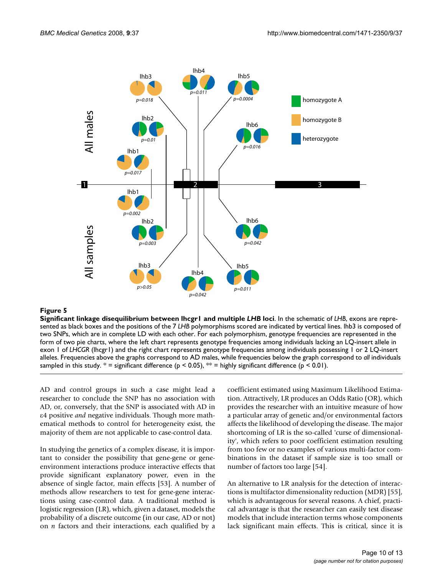

# **Figure 5**

**Significant linkage disequilibrium between lhcgr1 and multiple** *LHB* **loci**. In the schematic of *LHB*, exons are represented as black boxes and the positions of the 7 *LHB* polymorphisms scored are indicated by vertical lines. lhb3 is composed of two SNPs, which are in complete LD with each other. For each polymorphism, genotype frequencies are represented in the form of two pie charts, where the left chart represents genotype frequencies among individuals lacking an LQ-insert allele in exon 1 of *LHCGR* (lhcgr1) and the right chart represents genotype frequencies among individuals possessing 1 or 2 LQ-insert alleles. Frequencies above the graphs correspond to AD males, while frequencies below the graph correspond to *all* individuals sampled in this study.  $* =$  significant difference (p < 0.05),  $** =$  highly significant difference (p < 0.01).

AD and control groups in such a case might lead a researcher to conclude the SNP has no association with AD, or, conversely, that the SNP is associated with AD in ε4 positive *and* negative individuals. Though more mathematical methods to control for heterogeneity exist, the majority of them are not applicable to case-control data.

In studying the genetics of a complex disease, it is important to consider the possibility that gene-gene or geneenvironment interactions produce interactive effects that provide significant explanatory power, even in the absence of single factor, main effects [53]. A number of methods allow researchers to test for gene-gene interactions using case-control data. A traditional method is logistic regression (LR), which, given a dataset, models the probability of a discrete outcome (in our case, AD or not) on *n* factors and their interactions, each qualified by a

coefficient estimated using Maximum Likelihood Estimation. Attractively, LR produces an Odds Ratio (OR), which provides the researcher with an intuitive measure of how a particular array of genetic and/or environmental factors affects the likelihood of developing the disease. The major shortcoming of LR is the so-called 'curse of dimensionality', which refers to poor coefficient estimation resulting from too few or no examples of various multi-factor combinations in the dataset if sample size is too small or number of factors too large [54].

An alternative to LR analysis for the detection of interactions is multifactor dimensionality reduction (MDR) [55], which is advantageous for several reasons. A chief, practical advantage is that the researcher can easily test disease models that include interaction terms whose components lack significant main effects. This is critical, since it is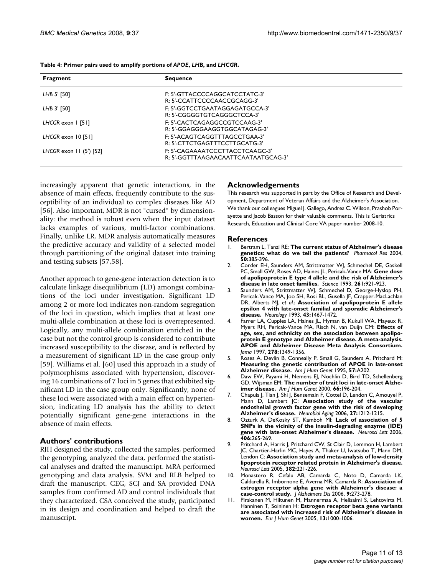| Fragment                 | <b>Sequence</b>                     |
|--------------------------|-------------------------------------|
| LHB 5' [50]              | F: 5'-GTTACCCCAGGCATCCTATC-3'       |
|                          | R: 5'-CCATTCCCCAACCGCAGG-3'         |
| LHB 3' [50]              | F: 5'-GGTCCTGAATAGGAGATGCCA-3'      |
|                          | R: 5'-CGGGGTGTCAGGGCTCCA-3'         |
| LHCGR exon 1 [51]        | E: 5'-CACTCAGAGGCCGTCCAAG-3'        |
|                          | R: 5'-GGAGGGAAGGTGGCATAGAG-3'       |
| LHCGR exon $10$ [51]     | F: 5'-ACAGTCAGGTTTAGCCTGAA-3'       |
|                          | R: 5'-CTTCTGAGTTTCCTTGCATG-3'       |
| LHCGR exon $11(5')$ [52] | F: 5'-CAGAAAATCCCTTACCTCAAGC-3'     |
|                          | R: 5'-GGTTTAAGAACAATTCAATAATGCAG-3' |

**Table 4: Primer pairs used to amplify portions of** *APOE***,** *LHB***, and** *LHCGR***.**

increasingly apparent that genetic interactions, in the absence of main effects, frequently contribute to the susceptibility of an individual to complex diseases like AD [56]. Also important, MDR is not "cursed" by dimensionality: the method is robust even when the input dataset lacks examples of various, multi-factor combinations. Finally, unlike LR, MDR analysis automatically measures the predictive accuracy and validity of a selected model through partitioning of the original dataset into training and testing subsets [57,58].

Another approach to gene-gene interaction detection is to calculate linkage disequilibrium (LD) amongst combinations of the loci under investigation. Significant LD among 2 or more loci indicates non-random segregation of the loci in question, which implies that at least one multi-allele combination at these loci is overrepresented. Logically, any multi-allele combination enriched in the case but not the control group is considered to contribute increased susceptibility to the disease, and is reflected by a measurement of significant LD in the case group only [59]. Williams et al. [60] used this approach in a study of polymorphisms associated with hypertension, discovering 16 combinations of 7 loci in 5 genes that exhibited significant LD in the case group only. Significantly, none of these loci were associated with a main effect on hypertension, indicating LD analysis has the ability to detect potentially significant gene-gene interactions in the absence of main effects.

#### **Authors' contributions**

RJH designed the study, collected the samples, performed the genotyping, analyzed the data, performed the statistical analyses and drafted the manuscript. MRA performed genotyping and data analysis. SVM and RLB helped to draft the manuscript. CEG, SCJ and SA provided DNA samples from confirmed AD and control individuals that they characterized. CSA conceived the study, participated in its design and coordination and helped to draft the manuscript.

#### **Acknowledgements**

This research was supported in part by the Office of Research and Development, Department of Veteran Affairs and the Alzheimer's Association. We thank our colleagues Miguel J. Gallego, Andrea C. Wilson, Prashob Porayette and Jacob Basson for their valuable comments. This is Geriatrics Research, Education and Clinical Core VA paper number 2008-10.

#### **References**

- 1. Bertram L, Tanzi RE: **[The current status of Alzheimer's disease](http://www.ncbi.nlm.nih.gov/entrez/query.fcgi?cmd=Retrieve&db=PubMed&dopt=Abstract&list_uids=15304236) [genetics: what do we tell the patients?](http://www.ncbi.nlm.nih.gov/entrez/query.fcgi?cmd=Retrieve&db=PubMed&dopt=Abstract&list_uids=15304236)** *Pharmacol Res* 2004, **50:**385-396.
- 2. Corder EH, Saunders AM, Strittmatter WJ, Schmechel DE, Gaskell PC, Small GW, Roses AD, Haines JL, Pericak-Vance MA: **[Gene dose](http://www.ncbi.nlm.nih.gov/entrez/query.fcgi?cmd=Retrieve&db=PubMed&dopt=Abstract&list_uids=8346443) [of apolipoprotein E type 4 allele and the risk of Alzheimer's](http://www.ncbi.nlm.nih.gov/entrez/query.fcgi?cmd=Retrieve&db=PubMed&dopt=Abstract&list_uids=8346443) [disease in late onset families.](http://www.ncbi.nlm.nih.gov/entrez/query.fcgi?cmd=Retrieve&db=PubMed&dopt=Abstract&list_uids=8346443)** *Science* 1993, **261:**921-923.
- 3. Saunders AM, Strittmatter WJ, Schmechel D, George-Hyslop PH, Pericak-Vance MA, Joo SH, Rosi BL, Gusella JF, Crapper-MacLachlan DR, Alberts MJ, *et al.*: **[Association of apolipoprotein E allele](http://www.ncbi.nlm.nih.gov/entrez/query.fcgi?cmd=Retrieve&db=PubMed&dopt=Abstract&list_uids=8350998) [epsilon 4 with late-onset familial and sporadic Alzheimer's](http://www.ncbi.nlm.nih.gov/entrez/query.fcgi?cmd=Retrieve&db=PubMed&dopt=Abstract&list_uids=8350998) [disease.](http://www.ncbi.nlm.nih.gov/entrez/query.fcgi?cmd=Retrieve&db=PubMed&dopt=Abstract&list_uids=8350998)** *Neurology* 1993, **43:**1467-1472.
- 4. Farrer LA, Cupples LA, Haines JL, Hyman B, Kukull WA, Mayeux R, Myers RH, Pericak-Vance MA, Risch N, van Duijn CM: **[Effects of](http://www.ncbi.nlm.nih.gov/entrez/query.fcgi?cmd=Retrieve&db=PubMed&dopt=Abstract&list_uids=9343467) age, sex, and ethnicity on the association between apolipo[protein E genotype and Alzheimer disease. A meta-analysis.](http://www.ncbi.nlm.nih.gov/entrez/query.fcgi?cmd=Retrieve&db=PubMed&dopt=Abstract&list_uids=9343467) APOE and Alzheimer Disease Meta Analysis Consortium.** *Jama* 1997, **278:**1349-1356.
- 5. Roses A, Devlin B, Conneally P, Small G, Saunders A, Pritchard M: **Measuring the genetic contribution of APOE in late-onset Alzheimer disease.** *Am J Hum Genet* 1995, **57:**A202.
- 6. Daw EW, Payami H, Nemens EJ, Nochlin D, Bird TD, Schellenberg GD, Wijsman EM: **[The number of trait loci in late-onset Alzhe](http://www.ncbi.nlm.nih.gov/entrez/query.fcgi?cmd=Retrieve&db=PubMed&dopt=Abstract&list_uids=10631151)[imer disease.](http://www.ncbi.nlm.nih.gov/entrez/query.fcgi?cmd=Retrieve&db=PubMed&dopt=Abstract&list_uids=10631151)** *Am J Hum Genet* 2000, **66:**196-204.
- 7. Chapuis J, Tian J, Shi J, Bensemain F, Cottel D, Lendon C, Amouyel P, Mann D, Lambert JC: **[Association study of the vascular](http://www.ncbi.nlm.nih.gov/entrez/query.fcgi?cmd=Retrieve&db=PubMed&dopt=Abstract&list_uids=16154235) [endothelial growth factor gene with the risk of developing](http://www.ncbi.nlm.nih.gov/entrez/query.fcgi?cmd=Retrieve&db=PubMed&dopt=Abstract&list_uids=16154235) [Alzheimer's disease.](http://www.ncbi.nlm.nih.gov/entrez/query.fcgi?cmd=Retrieve&db=PubMed&dopt=Abstract&list_uids=16154235)** *Neurobiol Aging* 2006, **27:**1212-1215.
- 8. Ozturk A, DeKosky ST, Kamboh MI: **[Lack of association of 5](http://www.ncbi.nlm.nih.gov/entrez/query.fcgi?cmd=Retrieve&db=PubMed&dopt=Abstract&list_uids=16914266) [SNPs in the vicinity of the insulin-degrading enzyme \(IDE\)](http://www.ncbi.nlm.nih.gov/entrez/query.fcgi?cmd=Retrieve&db=PubMed&dopt=Abstract&list_uids=16914266) [gene with late-onset Alzheimer's disease.](http://www.ncbi.nlm.nih.gov/entrez/query.fcgi?cmd=Retrieve&db=PubMed&dopt=Abstract&list_uids=16914266)** *Neurosci Lett* 2006, **406:**265-269.
- Pritchard A, Harris J, Pritchard CW, St Clair D, Lemmon H, Lambert JC, Chartier-Harlin MC, Hayes A, Thaker U, Iwatsubo T, Mann DM, Lendon C: **[Association study and meta-analysis of low-density](http://www.ncbi.nlm.nih.gov/entrez/query.fcgi?cmd=Retrieve&db=PubMed&dopt=Abstract&list_uids=15925094) [lipoprotein receptor related protein in Alzheimer's disease.](http://www.ncbi.nlm.nih.gov/entrez/query.fcgi?cmd=Retrieve&db=PubMed&dopt=Abstract&list_uids=15925094)** *Neurosci Lett* 2005, **382:**221-226.
- 10. Monastero R, Cefalu AB, Camarda C, Noto D, Camarda LK, Caldarella R, Imbornone E, Averna MR, Camarda R: **[Association of](http://www.ncbi.nlm.nih.gov/entrez/query.fcgi?cmd=Retrieve&db=PubMed&dopt=Abstract&list_uids=16914837) [estrogen receptor alpha gene with Alzheimer's disease: a](http://www.ncbi.nlm.nih.gov/entrez/query.fcgi?cmd=Retrieve&db=PubMed&dopt=Abstract&list_uids=16914837) [case-control study.](http://www.ncbi.nlm.nih.gov/entrez/query.fcgi?cmd=Retrieve&db=PubMed&dopt=Abstract&list_uids=16914837)** *J Alzheimers Dis* 2006, **9:**273-278.
- 11. Pirskanen M, Hiltunen M, Mannermaa A, Helisalmi S, Lehtovirta M, Hanninen T, Soininen H: **[Estrogen receptor beta gene variants](http://www.ncbi.nlm.nih.gov/entrez/query.fcgi?cmd=Retrieve&db=PubMed&dopt=Abstract&list_uids=15944651) [are associated with increased risk of Alzheimer's disease in](http://www.ncbi.nlm.nih.gov/entrez/query.fcgi?cmd=Retrieve&db=PubMed&dopt=Abstract&list_uids=15944651) [women.](http://www.ncbi.nlm.nih.gov/entrez/query.fcgi?cmd=Retrieve&db=PubMed&dopt=Abstract&list_uids=15944651)** *Eur J Hum Genet* 2005, **13:**1000-1006.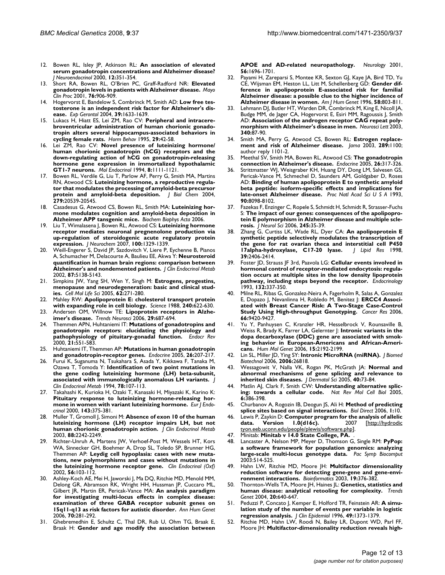- 12. Bowen RL, Isley JP, Atkinson RL: **[An association of elevated](http://www.ncbi.nlm.nih.gov/entrez/query.fcgi?cmd=Retrieve&db=PubMed&dopt=Abstract&list_uids=10718932) [serum gonadotropin concentrations and Alzheimer disease?](http://www.ncbi.nlm.nih.gov/entrez/query.fcgi?cmd=Retrieve&db=PubMed&dopt=Abstract&list_uids=10718932)** *J Neuroendocrinol* 2000, **12:**351-354.
- 13. Short RA, Bowen RL, O'Brien PC, Graff-Radford NR: **[Elevated](http://www.ncbi.nlm.nih.gov/entrez/query.fcgi?cmd=Retrieve&db=PubMed&dopt=Abstract&list_uids=11560301) [gonadotropin levels in patients with Alzheimer disease.](http://www.ncbi.nlm.nih.gov/entrez/query.fcgi?cmd=Retrieve&db=PubMed&dopt=Abstract&list_uids=11560301)** *Mayo Clin Proc* 2001, **76:**906-909.
- 14. Hogervorst E, Bandelow S, Combrinck M, Smith AD: **[Low free tes](http://www.ncbi.nlm.nih.gov/entrez/query.fcgi?cmd=Retrieve&db=PubMed&dopt=Abstract&list_uids=15582279)[tosterone is an independent risk factor for Alzheimer's dis](http://www.ncbi.nlm.nih.gov/entrez/query.fcgi?cmd=Retrieve&db=PubMed&dopt=Abstract&list_uids=15582279)[ease.](http://www.ncbi.nlm.nih.gov/entrez/query.fcgi?cmd=Retrieve&db=PubMed&dopt=Abstract&list_uids=15582279)** *Exp Gerontol* 2004, **39:**1633-1639.
- 15. Lukacs H, Hiatt ES, Lei ZM, Rao CV: **[Peripheral and intracere](http://www.ncbi.nlm.nih.gov/entrez/query.fcgi?cmd=Retrieve&db=PubMed&dopt=Abstract&list_uids=7782062)broventricular administration of human chorionic gonado[tropin alters several hippocampus-associated behaviors in](http://www.ncbi.nlm.nih.gov/entrez/query.fcgi?cmd=Retrieve&db=PubMed&dopt=Abstract&list_uids=7782062) [cycling female rats.](http://www.ncbi.nlm.nih.gov/entrez/query.fcgi?cmd=Retrieve&db=PubMed&dopt=Abstract&list_uids=7782062)** *Horm Behav* 1995, **29:**42-58.
- 16. Lei ZM, Rao CV: **[Novel presence of luteinizing hormone/](http://www.ncbi.nlm.nih.gov/entrez/query.fcgi?cmd=Retrieve&db=PubMed&dopt=Abstract&list_uids=7997235) human chorionic gonadotropin (hCG) receptors and the [down-regulating action of hCG on gonadotropin-releasing](http://www.ncbi.nlm.nih.gov/entrez/query.fcgi?cmd=Retrieve&db=PubMed&dopt=Abstract&list_uids=7997235) hormone gene expression in immortalized hypothalamic [GT1-7 neurons.](http://www.ncbi.nlm.nih.gov/entrez/query.fcgi?cmd=Retrieve&db=PubMed&dopt=Abstract&list_uids=7997235)** *Mol Endocrinol* 1994, **8:**1111-1121.
- Bowen RL, Verdile G, Liu T, Parlow AF, Perry G, Smith MA, Martins RN, Atwood CS: **[Luteinizing hormone, a reproductive regula](http://www.ncbi.nlm.nih.gov/entrez/query.fcgi?cmd=Retrieve&db=PubMed&dopt=Abstract&list_uids=14871891)[tor that modulates the processing of amyloid-beta precursor](http://www.ncbi.nlm.nih.gov/entrez/query.fcgi?cmd=Retrieve&db=PubMed&dopt=Abstract&list_uids=14871891) [protein and amyloid-beta deposition.](http://www.ncbi.nlm.nih.gov/entrez/query.fcgi?cmd=Retrieve&db=PubMed&dopt=Abstract&list_uids=14871891)** *J Biol Chem* 2004, **279:**20539-20545.
- 18. Casadesus G, Atwood CS, Bowen RL, Smith MA: **Luteinizing hormone modulates cognition and amyloid-beta deposition in Alzheimer APP tansgenic mice.** *Biochem Biophys Acta* 2006.
- 19. Liu T, Wimalasena J, Bowen RL, Atwood CS: **[Luteinizing hormone](http://www.ncbi.nlm.nih.gov/entrez/query.fcgi?cmd=Retrieve&db=PubMed&dopt=Abstract&list_uids=17241129) receptor mediates neuronal pregnenolone production via [up-regulation of steroidogenic acute regulatory protein](http://www.ncbi.nlm.nih.gov/entrez/query.fcgi?cmd=Retrieve&db=PubMed&dopt=Abstract&list_uids=17241129) [expression.](http://www.ncbi.nlm.nih.gov/entrez/query.fcgi?cmd=Retrieve&db=PubMed&dopt=Abstract&list_uids=17241129)** *J Neurochem* 2007, **100:**1329-1339.
- 20. Weill-Engerer S, David JP, Sazdovitch V, Liere P, Eychenne B, Pianos A, Schumacher M, Delacourte A, Baulieu EE, Akwa Y: **[Neurosteroid](http://www.ncbi.nlm.nih.gov/entrez/query.fcgi?cmd=Retrieve&db=PubMed&dopt=Abstract&list_uids=12414884) [quantification in human brain regions: comparison between](http://www.ncbi.nlm.nih.gov/entrez/query.fcgi?cmd=Retrieve&db=PubMed&dopt=Abstract&list_uids=12414884) [Alzheimer's and nondemented patients.](http://www.ncbi.nlm.nih.gov/entrez/query.fcgi?cmd=Retrieve&db=PubMed&dopt=Abstract&list_uids=12414884)** *J Clin Endocrinol Metab* 2002, **87:**5138-5143.
- 21. Simpkins JW, Yang SH, Wen Y, Singh M: **[Estrogens, progestins,](http://www.ncbi.nlm.nih.gov/entrez/query.fcgi?cmd=Retrieve&db=PubMed&dopt=Abstract&list_uids=15723163) [menopause and neurodegeneration: basic and clinical stud](http://www.ncbi.nlm.nih.gov/entrez/query.fcgi?cmd=Retrieve&db=PubMed&dopt=Abstract&list_uids=15723163)[ies.](http://www.ncbi.nlm.nih.gov/entrez/query.fcgi?cmd=Retrieve&db=PubMed&dopt=Abstract&list_uids=15723163)** *Cell Mol Life Sci* 2005, **62:**271-280.
- 22. Mahley RW: **[Apolipoprotein E: cholesterol transport protein](http://www.ncbi.nlm.nih.gov/entrez/query.fcgi?cmd=Retrieve&db=PubMed&dopt=Abstract&list_uids=3283935) [with expanding role in cell biology.](http://www.ncbi.nlm.nih.gov/entrez/query.fcgi?cmd=Retrieve&db=PubMed&dopt=Abstract&list_uids=3283935)** *Science* 1988, **240:**622-630.
- 23. Andersen OM, Willnow TE: **[Lipoprotein receptors in Alzhe](http://www.ncbi.nlm.nih.gov/entrez/query.fcgi?cmd=Retrieve&db=PubMed&dopt=Abstract&list_uids=17000013)[imer's disease.](http://www.ncbi.nlm.nih.gov/entrez/query.fcgi?cmd=Retrieve&db=PubMed&dopt=Abstract&list_uids=17000013)** *Trends Neurosci* 2006, **29:**687-694.
- 24. Themmen APN, Huhtaniemi IT: **[Mutations of gonadotropins and](http://www.ncbi.nlm.nih.gov/entrez/query.fcgi?cmd=Retrieve&db=PubMed&dopt=Abstract&list_uids=11041448) [gonadotropin receptors: elucidating the physiology and](http://www.ncbi.nlm.nih.gov/entrez/query.fcgi?cmd=Retrieve&db=PubMed&dopt=Abstract&list_uids=11041448) [pathophysiology of pituitary-gonadal function.](http://www.ncbi.nlm.nih.gov/entrez/query.fcgi?cmd=Retrieve&db=PubMed&dopt=Abstract&list_uids=11041448)** *Endocr Rev* 2000, **21:**551-583.
- 25. Huhtaniemi IT, Themmen AP: **[Mutations in human gonadotropin](http://www.ncbi.nlm.nih.gov/entrez/query.fcgi?cmd=Retrieve&db=PubMed&dopt=Abstract&list_uids=16034174) [and gonadotropin-receptor genes.](http://www.ncbi.nlm.nih.gov/entrez/query.fcgi?cmd=Retrieve&db=PubMed&dopt=Abstract&list_uids=16034174)** *Endocrine* 2005, **26:**207-217.
- 26. Furui K, Suganuma N, Tsukahara S, Asada Y, Kikkawa F, Tanaka M, Ozawa T, Tomoda Y: **[Identification of two point mutations in](http://www.ncbi.nlm.nih.gov/entrez/query.fcgi?cmd=Retrieve&db=PubMed&dopt=Abstract&list_uids=7904610) [the gene coding luteinizing hormone \(LH\) beta-subunit,](http://www.ncbi.nlm.nih.gov/entrez/query.fcgi?cmd=Retrieve&db=PubMed&dopt=Abstract&list_uids=7904610) [associated with immunologically anomalous LH variants.](http://www.ncbi.nlm.nih.gov/entrez/query.fcgi?cmd=Retrieve&db=PubMed&dopt=Abstract&list_uids=7904610)** *J Clin Endocrinol Metab* 1994, **78:**107-113.
- 27. Takahashi K, Kurioka H, Ozaki T, Kanasaki H, Miyazaki K, Karino K: **[Pituitary response to luteinizing hormone-releasing hor](http://www.ncbi.nlm.nih.gov/entrez/query.fcgi?cmd=Retrieve&db=PubMed&dopt=Abstract&list_uids=11022180)[mone in women with variant luteinizing hormone.](http://www.ncbi.nlm.nih.gov/entrez/query.fcgi?cmd=Retrieve&db=PubMed&dopt=Abstract&list_uids=11022180)** *Eur J Endocrinol* 2000, **143:**375-381.
- 28. Muller T, Gromoll J, Simoni M: **[Absence of exon 10 of the human](http://www.ncbi.nlm.nih.gov/entrez/query.fcgi?cmd=Retrieve&db=PubMed&dopt=Abstract&list_uids=12727981) [luteinizing hormone \(LH\) receptor impairs LH, but not](http://www.ncbi.nlm.nih.gov/entrez/query.fcgi?cmd=Retrieve&db=PubMed&dopt=Abstract&list_uids=12727981) [human chorionic gonadotropin action.](http://www.ncbi.nlm.nih.gov/entrez/query.fcgi?cmd=Retrieve&db=PubMed&dopt=Abstract&list_uids=12727981)** *J Clin Endocrinol Metab* 2003, **88:**2242-2249.
- 29. Richter-Unruh A, Martens JW, Verhoef-Post M, Wessels HT, Kors WA, Sinnecker GH, Boehmer A, Drop SL, Toledo SP, Brunner HG, Themmen AP: **[Leydig cell hypoplasia: cases with new muta](http://www.ncbi.nlm.nih.gov/entrez/query.fcgi?cmd=Retrieve&db=PubMed&dopt=Abstract&list_uids=11849253)[tions, new polymorphisms and cases without mutations in](http://www.ncbi.nlm.nih.gov/entrez/query.fcgi?cmd=Retrieve&db=PubMed&dopt=Abstract&list_uids=11849253) [the luteinizing hormone receptor gene.](http://www.ncbi.nlm.nih.gov/entrez/query.fcgi?cmd=Retrieve&db=PubMed&dopt=Abstract&list_uids=11849253)** *Clin Endocrinol (Oxf)* 2002, **56:**103-112.
- Ashley-Koch AE, Mei H, Jaworski J, Ma DQ, Ritchie MD, Menold MM, Delong GR, Abramson RK, Wright HH, Hussman JP, Cuccaro ML, Gilbert JR, Martin ER, Pericak-Vance MA: **[An analysis paradigm](http://www.ncbi.nlm.nih.gov/entrez/query.fcgi?cmd=Retrieve&db=PubMed&dopt=Abstract&list_uids=16674551) for investigating multi-locus effects in complex disease: [examination of three GABA receptor subunit genes on](http://www.ncbi.nlm.nih.gov/entrez/query.fcgi?cmd=Retrieve&db=PubMed&dopt=Abstract&list_uids=16674551) [15q11-q13 as risk factors for autistic disorder.](http://www.ncbi.nlm.nih.gov/entrez/query.fcgi?cmd=Retrieve&db=PubMed&dopt=Abstract&list_uids=16674551)** *Ann Hum Genet* 2006, **70:**281-292.
- 31. Ghebremedhin E, Schultz C, Thal DR, Rub U, Ohm TG, Braak E, Braak H: **[Gender and age modify the association between](http://www.ncbi.nlm.nih.gov/entrez/query.fcgi?cmd=Retrieve&db=PubMed&dopt=Abstract&list_uids=11425936)**

**[APOE and AD-related neuropathology.](http://www.ncbi.nlm.nih.gov/entrez/query.fcgi?cmd=Retrieve&db=PubMed&dopt=Abstract&list_uids=11425936)** *Neurology* 2001, **56:**1696-1701.

- 32. Payami H, Zareparsi S, Montee KR, Sexton GJ, Kaye JA, Bird TD, Yu CE, Wijsman EM, Heston LL, Litt M, Schellenberg GD: **[Gender dif](http://www.ncbi.nlm.nih.gov/entrez/query.fcgi?cmd=Retrieve&db=PubMed&dopt=Abstract&list_uids=8644745)ference in apolipoprotein E-associated risk for familial [Alzheimer disease: a possible clue to the higher incidence of](http://www.ncbi.nlm.nih.gov/entrez/query.fcgi?cmd=Retrieve&db=PubMed&dopt=Abstract&list_uids=8644745) [Alzheimer disease in women.](http://www.ncbi.nlm.nih.gov/entrez/query.fcgi?cmd=Retrieve&db=PubMed&dopt=Abstract&list_uids=8644745)** *Am J Hum Genet* 1996, **58:**803-811.
- 33. Lehmann DJ, Butler HT, Warden DR, Combrinck M, King E, Nicoll JA, Budge MM, de Jager CA, Hogervorst E, Esiri MM, Ragoussis J, Smith AD: **[Association of the androgen receptor CAG repeat poly](http://www.ncbi.nlm.nih.gov/entrez/query.fcgi?cmd=Retrieve&db=PubMed&dopt=Abstract&list_uids=12668243)[morphism with Alzheimer's disease in men.](http://www.ncbi.nlm.nih.gov/entrez/query.fcgi?cmd=Retrieve&db=PubMed&dopt=Abstract&list_uids=12668243)** *Neurosci Lett* 2003, **340:**87-90.
- 34. Smith MA, Perry G, Atwood CS, Bowen RL: **Estrogen replacement and risk of Alzheimer disease.** *Jama* 2003, **289:**1100; author reply 1101-2.
- 35. Meethal SV, Smith MA, Bowen RL, Atwood CS: **[The gonadotropin](http://www.ncbi.nlm.nih.gov/entrez/query.fcgi?cmd=Retrieve&db=PubMed&dopt=Abstract&list_uids=16034187) [connection in Alzheimer's disease.](http://www.ncbi.nlm.nih.gov/entrez/query.fcgi?cmd=Retrieve&db=PubMed&dopt=Abstract&list_uids=16034187)** *Endocrine* 2005, **26:**317-326.
- 36. Strittmatter WJ, Weisgraber KH, Huang DY, Dong LM, Salvesen GS, Pericak-Vance M, Schmechel D, Saunders AM, Goldgaber D, Roses AD: **[Binding of human apolipoprotein E to synthetic amyloid](http://www.ncbi.nlm.nih.gov/entrez/query.fcgi?cmd=Retrieve&db=PubMed&dopt=Abstract&list_uids=8367470) [beta peptide: isoform-specific effects and implications for](http://www.ncbi.nlm.nih.gov/entrez/query.fcgi?cmd=Retrieve&db=PubMed&dopt=Abstract&list_uids=8367470) [late-onset Alzheimer disease.](http://www.ncbi.nlm.nih.gov/entrez/query.fcgi?cmd=Retrieve&db=PubMed&dopt=Abstract&list_uids=8367470)** *Proc Natl Acad Sci U S A* 1993, **90:**8098-8102.
- 37. Fazekas F, Enzinger C, Ropele S, Schmidt H, Schmidt R, Strasser-Fuchs S: **[The impact of our genes: consequences of the apolipopro](http://www.ncbi.nlm.nih.gov/entrez/query.fcgi?cmd=Retrieve&db=PubMed&dopt=Abstract&list_uids=16631796)[tein E polymorphism in Alzheimer disease and multiple scle](http://www.ncbi.nlm.nih.gov/entrez/query.fcgi?cmd=Retrieve&db=PubMed&dopt=Abstract&list_uids=16631796)[rosis.](http://www.ncbi.nlm.nih.gov/entrez/query.fcgi?cmd=Retrieve&db=PubMed&dopt=Abstract&list_uids=16631796)** *J Neurol Sci* 2006, **245:**35-39.
- 38. Zhang G, Curtiss LK, Wade RL, Dyer CA: **[An apolipoprotein E](http://www.ncbi.nlm.nih.gov/entrez/query.fcgi?cmd=Retrieve&db=PubMed&dopt=Abstract&list_uids=9831628) synthetic peptide selectively modulates the transcription of [the gene for rat ovarian theca and interstitial cell P450](http://www.ncbi.nlm.nih.gov/entrez/query.fcgi?cmd=Retrieve&db=PubMed&dopt=Abstract&list_uids=9831628)** [17alpha-hydroxylase, C17-20 lyase.](http://www.ncbi.nlm.nih.gov/entrez/query.fcgi?cmd=Retrieve&db=PubMed&dopt=Abstract&list_uids=9831628) **39:**2406-2414.
- 39. Foster JD, Strauss JF 3rd, Paavola LG: **[Cellular events involved in](http://www.ncbi.nlm.nih.gov/entrez/query.fcgi?cmd=Retrieve&db=PubMed&dopt=Abstract&list_uids=8419131) hormonal control of receptor-mediated endocytosis: regula[tion occurs at multiple sites in the low density lipoprotein](http://www.ncbi.nlm.nih.gov/entrez/query.fcgi?cmd=Retrieve&db=PubMed&dopt=Abstract&list_uids=8419131) [pathway, including steps beyond the receptor.](http://www.ncbi.nlm.nih.gov/entrez/query.fcgi?cmd=Retrieve&db=PubMed&dopt=Abstract&list_uids=8419131)** *Endocrinology* 1993, **132:**337-350.
- 40. Milne RL, Ribas G, Gonzalez-Neira A, Fagerholm R, Salas A, Gonzalez E, Dopazo J, Nevanlinna H, Robledo M, Benitez J: **[ERCC4 Associ](http://www.ncbi.nlm.nih.gov/entrez/query.fcgi?cmd=Retrieve&db=PubMed&dopt=Abstract&list_uids=17018596)[ated with Breast Cancer Risk: A Two-Stage Case-Control](http://www.ncbi.nlm.nih.gov/entrez/query.fcgi?cmd=Retrieve&db=PubMed&dopt=Abstract&list_uids=17018596) [Study Using High-throughput Genotyping.](http://www.ncbi.nlm.nih.gov/entrez/query.fcgi?cmd=Retrieve&db=PubMed&dopt=Abstract&list_uids=17018596)** *Cancer Res* 2006, **66:**9420-9427.
- 41. Yu Y, Panhuysen C, Kranzler HR, Hesselbrock V, Rounsaville B, Weiss R, Brady K, Farrer LA, Gelernter J: **[Intronic variants in the](http://www.ncbi.nlm.nih.gov/entrez/query.fcgi?cmd=Retrieve&db=PubMed&dopt=Abstract&list_uids=16740595) dopa decarboxylase (DDC) gene are associated with smok[ing behavior in European-Americans and African-Ameri](http://www.ncbi.nlm.nih.gov/entrez/query.fcgi?cmd=Retrieve&db=PubMed&dopt=Abstract&list_uids=16740595)[cans.](http://www.ncbi.nlm.nih.gov/entrez/query.fcgi?cmd=Retrieve&db=PubMed&dopt=Abstract&list_uids=16740595)** *Hum Mol Genet* 2006, **15:**2192-2199.
- 42. Lin SL, Miller JD, Ying SY: **[Intronic MicroRNA \(miRNA\).](http://www.ncbi.nlm.nih.gov/entrez/query.fcgi?cmd=Retrieve&db=PubMed&dopt=Abstract&list_uids=17057362)** *J Biomed Biotechnol* 2006, **2006:**26818.
- 43. Wessagowit V, Nalla VK, Rogan PK, McGrath JA: **[Normal and](http://www.ncbi.nlm.nih.gov/entrez/query.fcgi?cmd=Retrieve&db=PubMed&dopt=Abstract&list_uids=16054339) [abnormal mechanisms of gene splicing and relevance to](http://www.ncbi.nlm.nih.gov/entrez/query.fcgi?cmd=Retrieve&db=PubMed&dopt=Abstract&list_uids=16054339) [inherited skin diseases.](http://www.ncbi.nlm.nih.gov/entrez/query.fcgi?cmd=Retrieve&db=PubMed&dopt=Abstract&list_uids=16054339)** *J Dermatol Sci* 2005, **40:**73-84.
- 44. Matlin AJ, Clark F, Smith CW: **[Understanding alternative splic](http://www.ncbi.nlm.nih.gov/entrez/query.fcgi?cmd=Retrieve&db=PubMed&dopt=Abstract&list_uids=15956978)[ing: towards a cellular code.](http://www.ncbi.nlm.nih.gov/entrez/query.fcgi?cmd=Retrieve&db=PubMed&dopt=Abstract&list_uids=15956978)** *Nat Rev Mol Cell Biol* 2005, **6:**386-398.
- 45. Churbanov A, Rogozin IB, Deogun JS, Ali H: **[Method of predicting](http://www.ncbi.nlm.nih.gov/entrez/query.fcgi?cmd=Retrieve&db=PubMed&dopt=Abstract&list_uids=16584568) [splice sites based on signal interactions.](http://www.ncbi.nlm.nih.gov/entrez/query.fcgi?cmd=Retrieve&db=PubMed&dopt=Abstract&list_uids=16584568)** *Biol Direct* 2006, **1:**10.
- 46. Lewis P, Zaykin D: **Computer program for the analysis of allelic** data. Version 1.0(d16c). 2007 [[http://hydrodic](http://hydrodictyon.eeb.uconn.edu/people/plewis/software.php) [tyon.eeb.uconn.edu/people/plewis/software.php](http://hydrodictyon.eeb.uconn.edu/people/plewis/software.php)].
- 47. Minitab: **Minitab v 14.0 State College, PA.** .
- 48. Lancaster A, Nelson MP, Meyer D, Thomson G, Single RM: **[PyPop:](http://www.ncbi.nlm.nih.gov/entrez/query.fcgi?cmd=Retrieve&db=PubMed&dopt=Abstract&list_uids=12603054) [a software framework for population genomics: analyzing](http://www.ncbi.nlm.nih.gov/entrez/query.fcgi?cmd=Retrieve&db=PubMed&dopt=Abstract&list_uids=12603054) [large-scale multi-locus genotype data.](http://www.ncbi.nlm.nih.gov/entrez/query.fcgi?cmd=Retrieve&db=PubMed&dopt=Abstract&list_uids=12603054)** *Pac Symp Biocomput* 2003:514-525.
- 49. Hahn LW, Ritchie MD, Moore JH: **[Multifactor dimensionality](http://www.ncbi.nlm.nih.gov/entrez/query.fcgi?cmd=Retrieve&db=PubMed&dopt=Abstract&list_uids=12584123) [reduction software for detecting gene-gene and gene-envi](http://www.ncbi.nlm.nih.gov/entrez/query.fcgi?cmd=Retrieve&db=PubMed&dopt=Abstract&list_uids=12584123)[ronment interactions.](http://www.ncbi.nlm.nih.gov/entrez/query.fcgi?cmd=Retrieve&db=PubMed&dopt=Abstract&list_uids=12584123)** *Bioinformatics* 2003, **19:**376-382.
- 50. Thornton-Wells TA, Moore JH, Haines JL: **[Genetics, statistics and](http://www.ncbi.nlm.nih.gov/entrez/query.fcgi?cmd=Retrieve&db=PubMed&dopt=Abstract&list_uids=15522460) [human disease: analytical retooling for complexity.](http://www.ncbi.nlm.nih.gov/entrez/query.fcgi?cmd=Retrieve&db=PubMed&dopt=Abstract&list_uids=15522460)** *Trends Genet* 2004, **20:**640-647.
- 51. Peduzzi P, Concato J, Kemper E, Holford TR, Feinstein AR: **[A simu](http://www.ncbi.nlm.nih.gov/entrez/query.fcgi?cmd=Retrieve&db=PubMed&dopt=Abstract&list_uids=8970487)[lation study of the number of events per variable in logistic](http://www.ncbi.nlm.nih.gov/entrez/query.fcgi?cmd=Retrieve&db=PubMed&dopt=Abstract&list_uids=8970487) [regression analysis.](http://www.ncbi.nlm.nih.gov/entrez/query.fcgi?cmd=Retrieve&db=PubMed&dopt=Abstract&list_uids=8970487)** *J Clin Epidemiol* 1996, **49:**1373-1379.
- 52. Ritchie MD, Hahn LW, Roodi N, Bailey LR, Dupont WD, Parl FF, Moore JH: **[Multifactor-dimensionality reduction reveals high](http://www.ncbi.nlm.nih.gov/entrez/query.fcgi?cmd=Retrieve&db=PubMed&dopt=Abstract&list_uids=11404819)-**